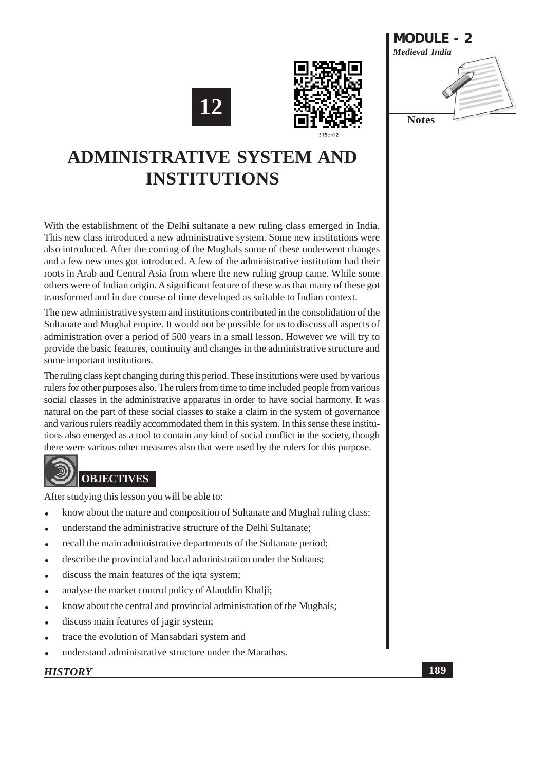





# **ADMINISTRATIVE SYSTEM AND INSTITUTIONS**

With the establishment of the Delhi sultanate a new ruling class emerged in India. This new class introduced a new administrative system. Some new institutions were also introduced. After the coming of the Mughals some of these underwent changes and a few new ones got introduced. A few of the administrative institution had their roots in Arab and Central Asia from where the new ruling group came. While some others were of Indian origin. A significant feature of these was that many of these got transformed and in due course of time developed as suitable to Indian context.

The new administrative system and institutions contributed in the consolidation of the Sultanate and Mughal empire. It would not be possible for us to discuss all aspects of administration over a period of 500 years in a small lesson. However we will try to provide the basic features, continuity and changes in the administrative structure and some important institutions.

The ruling class kept changing during this period. These institutions were used by various rulers for other purposes also. The rulers from time to time included people from various social classes in the administrative apparatus in order to have social harmony. It was natural on the part of these social classes to stake a claim in the system of governance and various rulers readily accommodated them in this system. In this sense these institutions also emerged as a tool to contain any kind of social conflict in the society, though there were various other measures also that were used by the rulers for this purpose.

# **OBJECTIVES**

After studying this lesson you will be able to:

- know about the nature and composition of Sultanate and Mughal ruling class;
- understand the administrative structure of the Delhi Sultanate;
- recall the main administrative departments of the Sultanate period;
- describe the provincial and local administration under the Sultans;
- discuss the main features of the iqta system;
- analyse the market control policy of Alauddin Khalii:
- know about the central and provincial administration of the Mughals;
- discuss main features of jagir system;
- trace the evolution of Mansabdari system and
- understand administrative structure under the Marathas.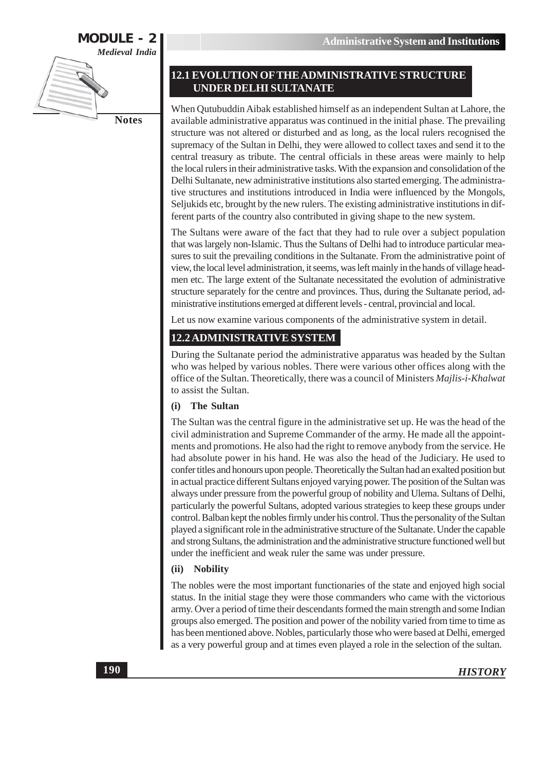

#### **12.1 EVOLUTION OF THE ADMINISTRATIVE STRUCTURE UNDER DELHI SULTANATE**

When Qutubuddin Aibak established himself as an independent Sultan at Lahore, the available administrative apparatus was continued in the initial phase. The prevailing structure was not altered or disturbed and as long, as the local rulers recognised the supremacy of the Sultan in Delhi, they were allowed to collect taxes and send it to the central treasury as tribute. The central officials in these areas were mainly to help the local rulers in their administrative tasks. With the expansion and consolidation of the Delhi Sultanate, new administrative institutions also started emerging. The administrative structures and institutions introduced in India were influenced by the Mongols, Seljukids etc, brought by the new rulers. The existing administrative institutions in different parts of the country also contributed in giving shape to the new system.

The Sultans were aware of the fact that they had to rule over a subject population that was largely non-Islamic. Thus the Sultans of Delhi had to introduce particular measures to suit the prevailing conditions in the Sultanate. From the administrative point of view, the local level administration, it seems, was left mainly in the hands of village headmen etc. The large extent of the Sultanate necessitated the evolution of administrative structure separately for the centre and provinces. Thus, during the Sultanate period, administrative institutions emerged at different levels - central, provincial and local.

Let us now examine various components of the administrative system in detail.

### 12.2 ADMINISTRATIVE SYSTEM

During the Sultanate period the administrative apparatus was headed by the Sultan who was helped by various nobles. There were various other offices along with the office of the Sultan. Theoretically, there was a council of Ministers Majlis-i-Khalwat to assist the Sultan.

#### **The Sultan**  $(i)$

The Sultan was the central figure in the administrative set up. He was the head of the civil administration and Supreme Commander of the army. He made all the appointments and promotions. He also had the right to remove anybody from the service. He had absolute power in his hand. He was also the head of the Judiciary. He used to confer titles and honours upon people. Theoretically the Sultan had an exalted position but in actual practice different Sultans enjoyed varying power. The position of the Sultan was always under pressure from the powerful group of nobility and Ulema. Sultans of Delhi, particularly the powerful Sultans, adopted various strategies to keep these groups under control. Balban kept the nobles firmly under his control. Thus the personality of the Sultan played a significant role in the administrative structure of the Sultanate. Under the capable and strong Sultans, the administration and the administrative structure functioned well but under the inefficient and weak ruler the same was under pressure.

#### (ii) Nobility

The nobles were the most important functionaries of the state and enjoyed high social status. In the initial stage they were those commanders who came with the victorious army. Over a period of time their descendants formed the main strength and some Indian groups also emerged. The position and power of the nobility varied from time to time as has been mentioned above. Nobles, particularly those who were based at Delhi, emerged as a very powerful group and at times even played a role in the selection of the sultan.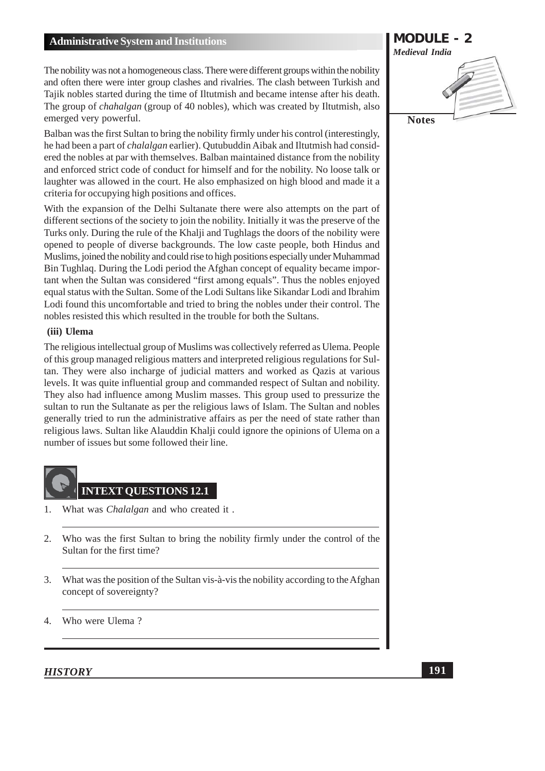The nobility was not a homogeneous class. There were different groups within the nobility and often there were inter group clashes and rivalries. The clash between Turkish and Tajik nobles started during the time of Iltutmish and became intense after his death. The group of *chahalgan* (group of 40 nobles), which was created by Iltutmish, also emerged very powerful.

Balban was the first Sultan to bring the nobility firmly under his control (interestingly, he had been a part of *chalalgan* earlier). Qutubuddin Aibak and Iltutmish had considered the nobles at par with themselves. Balban maintained distance from the nobility and enforced strict code of conduct for himself and for the nobility. No loose talk or laughter was allowed in the court. He also emphasized on high blood and made it a criteria for occupying high positions and offices.

With the expansion of the Delhi Sultanate there were also attempts on the part of different sections of the society to join the nobility. Initially it was the preserve of the Turks only. During the rule of the Khalji and Tughlags the doors of the nobility were opened to people of diverse backgrounds. The low caste people, both Hindus and Muslims, joined the nobility and could rise to high positions especially under Muhammad Bin Tughlag. During the Lodi period the Afghan concept of equality became important when the Sultan was considered "first among equals". Thus the nobles enjoyed equal status with the Sultan. Some of the Lodi Sultans like Sikandar Lodi and Ibrahim Lodi found this uncomfortable and tried to bring the nobles under their control. The nobles resisted this which resulted in the trouble for both the Sultans.

#### (iii) Ulema

The religious intellectual group of Muslims was collectively referred as Ulema. People of this group managed religious matters and interpreted religious regulations for Sultan. They were also incharge of judicial matters and worked as Qazis at various levels. It was quite influential group and commanded respect of Sultan and nobility. They also had influence among Muslim masses. This group used to pressurize the sultan to run the Sultanate as per the religious laws of Islam. The Sultan and nobles generally tried to run the administrative affairs as per the need of state rather than religious laws. Sultan like Alauddin Khalji could ignore the opinions of Ulema on a number of issues but some followed their line.



- What was *Chalalgan* and who created it.  $1<sub>1</sub>$
- 2. Who was the first Sultan to bring the nobility firmly under the control of the Sultan for the first time?
- $3.$ What was the position of the Sultan vis-à-vis the nobility according to the Afghan concept of sovereignty?
- $\overline{4}$ . Who were Ulema?

**MODULE - 2 Medieval India Notes**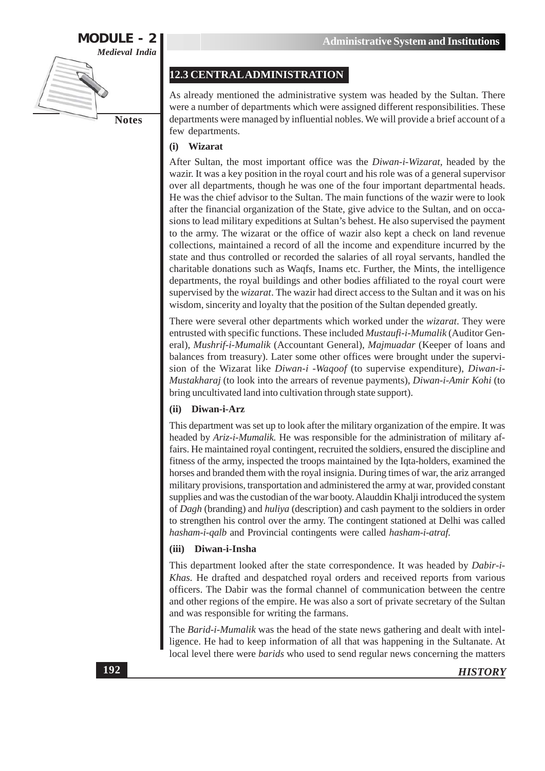

#### 12.3 CENTRAL ADMINISTRATION

As already mentioned the administrative system was headed by the Sultan. There were a number of departments which were assigned different responsibilities. These departments were managed by influential nobles. We will provide a brief account of a few departments.

#### Wizarat  $(i)$

After Sultan, the most important office was the Diwan-i-Wizarat, headed by the wazir. It was a key position in the royal court and his role was of a general supervisor over all departments, though he was one of the four important departmental heads. He was the chief advisor to the Sultan. The main functions of the wazir were to look after the financial organization of the State, give advice to the Sultan, and on occasions to lead military expeditions at Sultan's behest. He also supervised the payment to the army. The wizarat or the office of wazir also kept a check on land revenue collections, maintained a record of all the income and expenditure incurred by the state and thus controlled or recorded the salaries of all royal servants, handled the charitable donations such as Waqfs, Inams etc. Further, the Mints, the intelligence departments, the royal buildings and other bodies affiliated to the royal court were supervised by the *wizarat*. The wazir had direct access to the Sultan and it was on his wisdom, sincerity and loyalty that the position of the Sultan depended greatly.

There were several other departments which worked under the *wizarat*. They were entrusted with specific functions. These included Mustaufi-i-Mumalik (Auditor General), Mushrif-i-Mumalik (Accountant General), Majmuadar (Keeper of loans and balances from treasury). Later some other offices were brought under the supervision of the Wizarat like Diwan-i -Wagoof (to supervise expenditure), Diwan-i-Mustakharaj (to look into the arrears of revenue payments), Diwan-i-Amir Kohi (to bring uncultivated land into cultivation through state support).

#### (ii) Diwan-i-Arz

This department was set up to look after the military organization of the empire. It was headed by Ariz-i-Mumalik. He was responsible for the administration of military affairs. He maintained royal contingent, recruited the soldiers, ensured the discipline and fitness of the army, inspected the troops maintained by the Iqta-holders, examined the horses and branded them with the royal insignia. During times of war, the ariz arranged military provisions, transportation and administered the army at war, provided constant supplies and was the custodian of the war booty. Alauddin Khalji introduced the system of *Dagh* (branding) and *huliya* (description) and cash payment to the soldiers in order to strengthen his control over the army. The contingent stationed at Delhi was called hasham-i-qalb and Provincial contingents were called hasham-i-atraf.

#### (iii) Diwan-i-Insha

This department looked after the state correspondence. It was headed by Dabir-i-Khas. He drafted and despatched royal orders and received reports from various officers. The Dabir was the formal channel of communication between the centre and other regions of the empire. He was also a sort of private secretary of the Sultan and was responsible for writing the farmans.

The Barid-i-Mumalik was the head of the state news gathering and dealt with intelligence. He had to keep information of all that was happening in the Sultanate. At local level there were *barids* who used to send regular news concerning the matters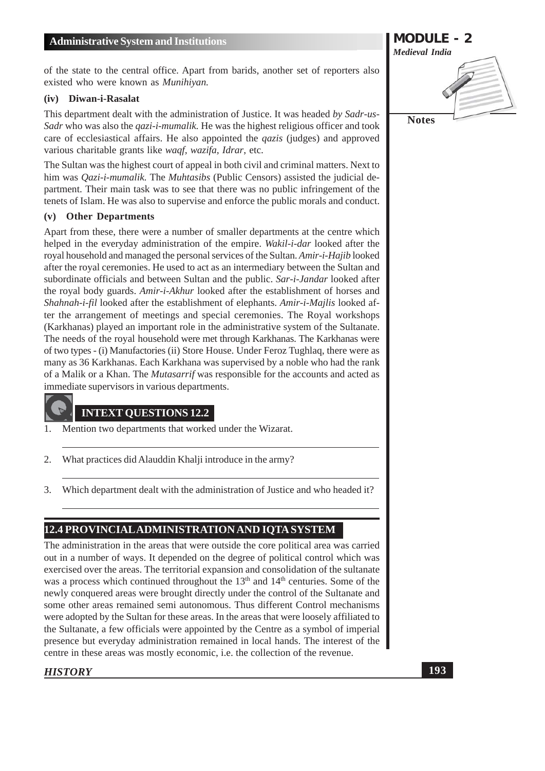of the state to the central office. Apart from barids, another set of reporters also existed who were known as *Munihiyan*.

#### (iv) Diwan-i-Rasalat

This department dealt with the administration of Justice. It was headed by Sadr-us-Sadr who was also the *gazi-i-mumalik*. He was the highest religious officer and took care of ecclesiastical affairs. He also appointed the *gazis* (judges) and approved various charitable grants like waqf, wazifa, Idrar, etc.

The Sultan was the highest court of appeal in both civil and criminal matters. Next to him was *Oazi-i-mumalik*. The *Muhtasibs* (Public Censors) assisted the judicial department. Their main task was to see that there was no public infringement of the tenets of Islam. He was also to supervise and enforce the public morals and conduct.

#### (v) Other Departments

Apart from these, there were a number of smaller departments at the centre which helped in the everyday administration of the empire. Wakil-i-dar looked after the royal household and managed the personal services of the Sultan. Amir-i-Hajib looked after the royal ceremonies. He used to act as an intermediary between the Sultan and subordinate officials and between Sultan and the public. Sar-i-Jandar looked after the royal body guards. Amir-i-Akhur looked after the establishment of horses and Shahnah-i-fil looked after the establishment of elephants. Amir-i-Majlis looked after the arrangement of meetings and special ceremonies. The Royal workshops (Karkhanas) played an important role in the administrative system of the Sultanate. The needs of the royal household were met through Karkhanas. The Karkhanas were of two types - (i) Manufactories (ii) Store House. Under Feroz Tughlaq, there were as many as 36 Karkhanas. Each Karkhana was supervised by a noble who had the rank of a Malik or a Khan. The *Mutasarrif* was responsible for the accounts and acted as immediate supervisors in various departments.

#### **INTEXT QUESTIONS 12.2**

- Mention two departments that worked under the Wizarat.  $\mathbf{1}$
- 2. What practices did Alauddin Khalji introduce in the army?
- Which department dealt with the administration of Justice and who headed it?  $3.$

#### 12.4 PROVINCIAL ADMINISTRATION AND IQTA SYSTEM

The administration in the areas that were outside the core political area was carried out in a number of ways. It depended on the degree of political control which was exercised over the areas. The territorial expansion and consolidation of the sultanate was a process which continued throughout the 13<sup>th</sup> and 14<sup>th</sup> centuries. Some of the newly conquered areas were brought directly under the control of the Sultanate and some other areas remained semi autonomous. Thus different Control mechanisms were adopted by the Sultan for these areas. In the areas that were loosely affiliated to the Sultanate, a few officials were appointed by the Centre as a symbol of imperial presence but everyday administration remained in local hands. The interest of the centre in these areas was mostly economic, i.e. the collection of the revenue.

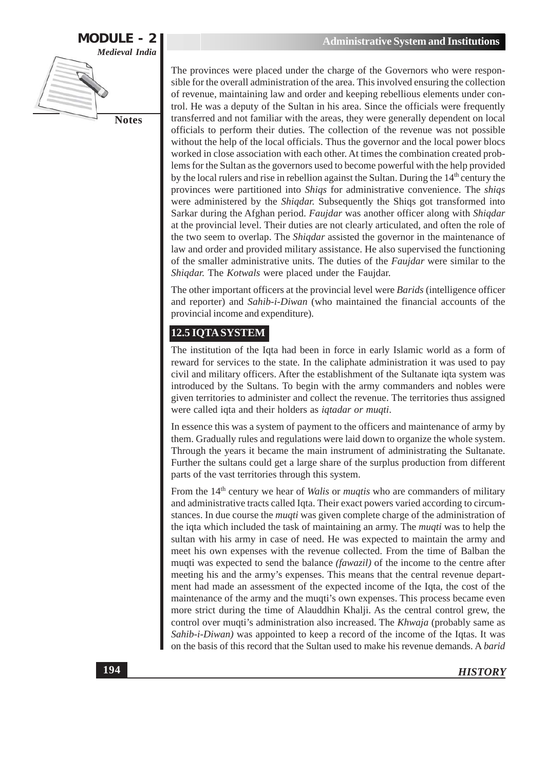

The provinces were placed under the charge of the Governors who were responsible for the overall administration of the area. This involved ensuring the collection of revenue, maintaining law and order and keeping rebellious elements under control. He was a deputy of the Sultan in his area. Since the officials were frequently transferred and not familiar with the areas, they were generally dependent on local officials to perform their duties. The collection of the revenue was not possible without the help of the local officials. Thus the governor and the local power blocs worked in close association with each other. At times the combination created problems for the Sultan as the governors used to become powerful with the help provided by the local rulers and rise in rebellion against the Sultan. During the 14<sup>th</sup> century the provinces were partitioned into Shiqs for administrative convenience. The shiqs were administered by the *Shigdar*. Subsequently the *Shigs* got transformed into Sarkar during the Afghan period. Faujdar was another officer along with Shiqdar at the provincial level. Their duties are not clearly articulated, and often the role of the two seem to overlap. The *Shigdar* assisted the governor in the maintenance of law and order and provided military assistance. He also supervised the functioning of the smaller administrative units. The duties of the Faujdar were similar to the Shiqdar. The Kotwals were placed under the Faujdar.

The other important officers at the provincial level were *Barids* (intelligence officer and reporter) and Sahib-i-Diwan (who maintained the financial accounts of the provincial income and expenditure).

### 12.5 IQTA SYSTEM

The institution of the Iqta had been in force in early Islamic world as a form of reward for services to the state. In the caliphate administration it was used to pay civil and military officers. After the establishment of the Sultanate igta system was introduced by the Sultans. To begin with the army commanders and nobles were given territories to administer and collect the revenue. The territories thus assigned were called iqta and their holders as *iqtadar or muqti*.

In essence this was a system of payment to the officers and maintenance of army by them. Gradually rules and regulations were laid down to organize the whole system. Through the years it became the main instrument of administrating the Sultanate. Further the sultans could get a large share of the surplus production from different parts of the vast territories through this system.

From the  $14<sup>th</sup>$  century we hear of *Walis* or *muqtis* who are commanders of military and administrative tracts called Iqta. Their exact powers varied according to circumstances. In due course the *muqti* was given complete charge of the administration of the iqta which included the task of maintaining an army. The *muqti* was to help the sultan with his army in case of need. He was expected to maintain the army and meet his own expenses with the revenue collected. From the time of Balban the muqti was expected to send the balance (fawazil) of the income to the centre after meeting his and the army's expenses. This means that the central revenue department had made an assessment of the expected income of the Iqta, the cost of the maintenance of the army and the muqti's own expenses. This process became even more strict during the time of Alauddhin Khalji. As the central control grew, the control over muqti's administration also increased. The Khwaja (probably same as Sahib-i-Diwan) was appointed to keep a record of the income of the Iqtas. It was on the basis of this record that the Sultan used to make his revenue demands. A barid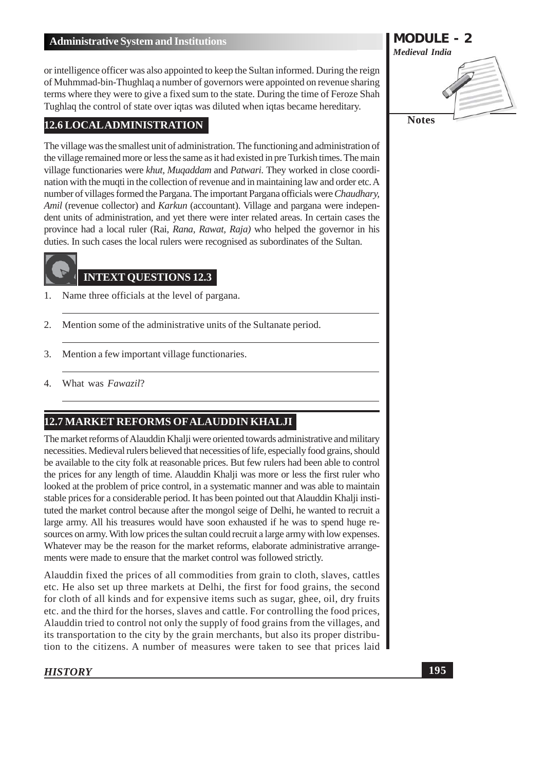or intelligence officer was also appointed to keep the Sultan informed. During the reign of Muhmmad-bin-Thughlaq a number of governors were appointed on revenue sharing terms where they were to give a fixed sum to the state. During the time of Feroze Shah Tughlaq the control of state over igtas was diluted when igtas became hereditary.

#### **12.6 LOCAL ADMINISTRATION**

The village was the smallest unit of administration. The functioning and administration of the village remained more or less the same as it had existed in pre Turkish times. The main village functionaries were khut, Mugaddam and Patwari. They worked in close coordination with the muqti in the collection of revenue and in maintaining law and order etc. A number of villages formed the Pargana. The important Pargana officials were Chaudhary, Amil (revenue collector) and Karkun (accountant). Village and pargana were independent units of administration, and yet there were inter related areas. In certain cases the province had a local ruler (Rai, Rana, Rawat, Raja) who helped the governor in his duties. In such cases the local rulers were recognised as subordinates of the Sultan.

## **INTEXT QUESTIONS 12.3**

- Name three officials at the level of pargana. 1.
- 2. Mention some of the administrative units of the Sultanate period.
- $3.$ Mention a few important village functionaries.
- What was Fawazil?  $\overline{4}$ .

### 12.7 MARKET REFORMS OF ALAUDDIN KHALJI

The market reforms of Alauddin Khalji were oriented towards administrative and military necessities. Medieval rulers believed that necessities of life, especially food grains, should be available to the city folk at reasonable prices. But few rulers had been able to control the prices for any length of time. Alauddin Khalji was more or less the first ruler who looked at the problem of price control, in a systematic manner and was able to maintain stable prices for a considerable period. It has been pointed out that Alauddin Khalji instituted the market control because after the mongol seige of Delhi, he wanted to recruit a large army. All his treasures would have soon exhausted if he was to spend huge resources on army. With low prices the sultan could recruit a large army with low expenses. Whatever may be the reason for the market reforms, elaborate administrative arrangements were made to ensure that the market control was followed strictly.

Alauddin fixed the prices of all commodities from grain to cloth, slaves, cattles etc. He also set up three markets at Delhi, the first for food grains, the second for cloth of all kinds and for expensive items such as sugar, ghee, oil, dry fruits etc. and the third for the horses, slaves and cattle. For controlling the food prices, Alauddin tried to control not only the supply of food grains from the villages, and its transportation to the city by the grain merchants, but also its proper distribution to the citizens. A number of measures were taken to see that prices laid

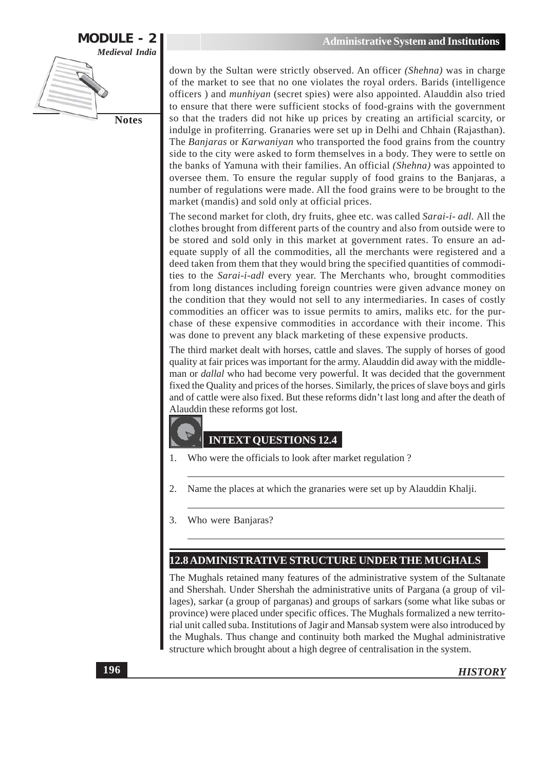

down by the Sultan were strictly observed. An officer (Shehna) was in charge of the market to see that no one violates the royal orders. Barids (intelligence officers) and *munhiyan* (secret spies) were also appointed. Alauddin also tried to ensure that there were sufficient stocks of food-grains with the government so that the traders did not hike up prices by creating an artificial scarcity, or indulge in profiterring. Granaries were set up in Delhi and Chhain (Rajasthan). The Banjaras or Karwaniyan who transported the food grains from the country side to the city were asked to form themselves in a body. They were to settle on the banks of Yamuna with their families. An official (Shehna) was appointed to oversee them. To ensure the regular supply of food grains to the Banjaras, a number of regulations were made. All the food grains were to be brought to the market (mandis) and sold only at official prices.

The second market for cloth, dry fruits, ghee etc. was called Sarai-i- adl. All the clothes brought from different parts of the country and also from outside were to be stored and sold only in this market at government rates. To ensure an adequate supply of all the commodities, all the merchants were registered and a deed taken from them that they would bring the specified quantities of commodities to the *Sarai-i-adl* every year. The Merchants who, brought commodities from long distances including foreign countries were given advance money on the condition that they would not sell to any intermediaries. In cases of costly commodities an officer was to issue permits to amirs, maliks etc. for the purchase of these expensive commodities in accordance with their income. This was done to prevent any black marketing of these expensive products.

The third market dealt with horses, cattle and slaves. The supply of horses of good quality at fair prices was important for the army. Alauddin did away with the middleman or *dallal* who had become very powerful. It was decided that the government fixed the Quality and prices of the horses. Similarly, the prices of slave boys and girls and of cattle were also fixed. But these reforms didn't last long and after the death of Alauddin these reforms got lost.

### **INTEXT QUESTIONS 12.4**

- Who were the officials to look after market regulation? 1.
- Name the places at which the granaries were set up by Alauddin Khalji. 2.
- 3. Who were Banjaras?

### 12.8 ADMINISTRATIVE STRUCTURE UNDER THE MUGHALS

The Mughals retained many features of the administrative system of the Sultanate and Shershah. Under Shershah the administrative units of Pargana (a group of villages), sarkar (a group of parganas) and groups of sarkars (some what like subas or province) were placed under specific offices. The Mughals formalized a new territorial unit called suba. Institutions of Jagir and Mansab system were also introduced by the Mughals. Thus change and continuity both marked the Mughal administrative structure which brought about a high degree of centralisation in the system.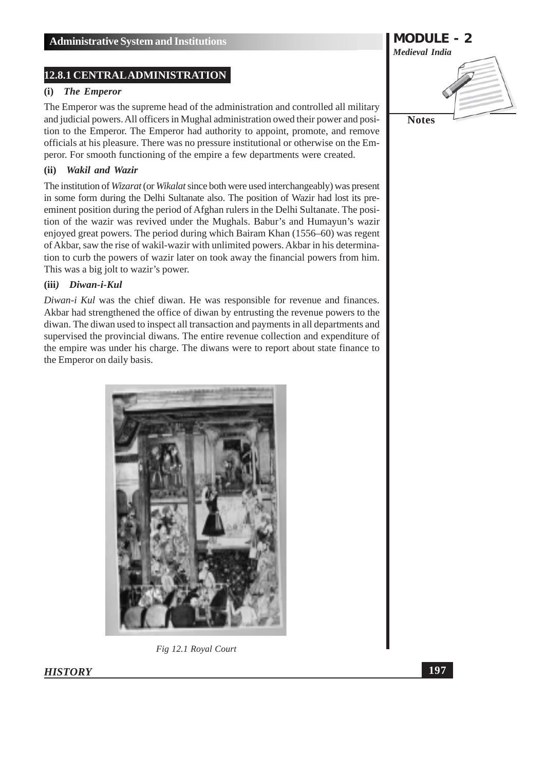#### **12.8.1 CENTRAL ADMINISTRATION**

#### $(i)$ **The Emperor**

The Emperor was the supreme head of the administration and controlled all military and judicial powers. All officers in Mughal administration owed their power and position to the Emperor. The Emperor had authority to appoint, promote, and remove officials at his pleasure. There was no pressure institutional or otherwise on the Emperor. For smooth functioning of the empire a few departments were created.

#### (ii) Wakil and Wazir

The institution of *Wizarat* (or *Wikalat* since both were used interchangeably) was present in some form during the Delhi Sultanate also. The position of Wazir had lost its preeminent position during the period of Afghan rulers in the Delhi Sultanate. The position of the wazir was revived under the Mughals. Babur's and Humayun's wazir enjoyed great powers. The period during which Bairam Khan (1556–60) was regent of Akbar, saw the rise of wakil-wazir with unlimited powers. Akbar in his determination to curb the powers of wazir later on took away the financial powers from him. This was a big jolt to wazir's power.

#### (iii) Diwan-i-Kul

*Diwan-i Kul* was the chief diwan. He was responsible for revenue and finances. Akbar had strengthened the office of diwan by entrusting the revenue powers to the diwan. The diwan used to inspect all transaction and payments in all departments and supervised the provincial diwans. The entire revenue collection and expenditure of the empire was under his charge. The diwans were to report about state finance to the Emperor on daily basis.



Fig 12.1 Royal Court



**HISTORY**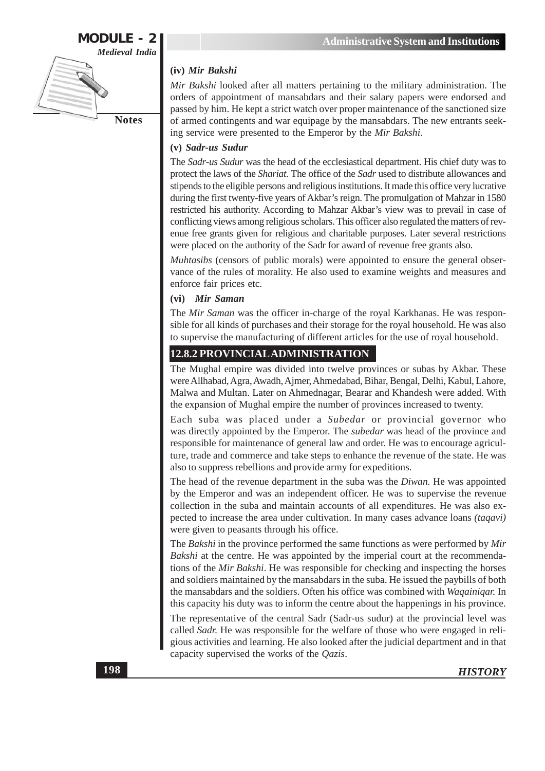

#### (iv) Mir Bakshi

Mir Bakshi looked after all matters pertaining to the military administration. The orders of appointment of mansabdars and their salary papers were endorsed and passed by him. He kept a strict watch over proper maintenance of the sanctioned size of armed contingents and war equipage by the mansabdars. The new entrants seeking service were presented to the Emperor by the Mir Bakshi.

#### (v) Sadr-us Sudur

The Sadr-us Sudur was the head of the ecclesiastical department. His chief duty was to protect the laws of the Shariat. The office of the Sadr used to distribute allowances and stipends to the eligible persons and religious institutions. It made this office very lucrative during the first twenty-five years of Akbar's reign. The promulgation of Mahzar in 1580 restricted his authority. According to Mahzar Akbar's view was to prevail in case of conflicting views among religious scholars. This officer also regulated the matters of revenue free grants given for religious and charitable purposes. Later several restrictions were placed on the authority of the Sadr for award of revenue free grants also.

Muhtasibs (censors of public morals) were appointed to ensure the general observance of the rules of morality. He also used to examine weights and measures and enforce fair prices etc.

#### (vi) Mir Saman

The Mir Saman was the officer in-charge of the royal Karkhanas. He was responsible for all kinds of purchases and their storage for the royal household. He was also to supervise the manufacturing of different articles for the use of royal household.

#### 12.8.2 PROVINCIAL ADMINISTRATION

The Mughal empire was divided into twelve provinces or subas by Akbar. These were Allhabad, Agra, Awadh, Ajmer, Ahmedabad, Bihar, Bengal, Delhi, Kabul, Lahore, Malwa and Multan. Later on Ahmednagar, Bearar and Khandesh were added. With the expansion of Mughal empire the number of provinces increased to twenty.

Each suba was placed under a Subedar or provincial governor who was directly appointed by the Emperor. The *subedar* was head of the province and responsible for maintenance of general law and order. He was to encourage agriculture, trade and commerce and take steps to enhance the revenue of the state. He was also to suppress rebellions and provide army for expeditions.

The head of the revenue department in the suba was the *Diwan*. He was appointed by the Emperor and was an independent officer. He was to supervise the revenue collection in the suba and maintain accounts of all expenditures. He was also expected to increase the area under cultivation. In many cases advance loans *(tagavi)* were given to peasants through his office.

The Bakshi in the province performed the same functions as were performed by Mir Bakshi at the centre. He was appointed by the imperial court at the recommendations of the Mir Bakshi. He was responsible for checking and inspecting the horses and soldiers maintained by the mansabdars in the suba. He issued the paybills of both the mansabdars and the soldiers. Often his office was combined with *Wagainigar*. In this capacity his duty was to inform the centre about the happenings in his province.

The representative of the central Sadr (Sadr-us sudur) at the provincial level was called Sadr. He was responsible for the welfare of those who were engaged in religious activities and learning. He also looked after the judicial department and in that capacity supervised the works of the  $Qazis$ .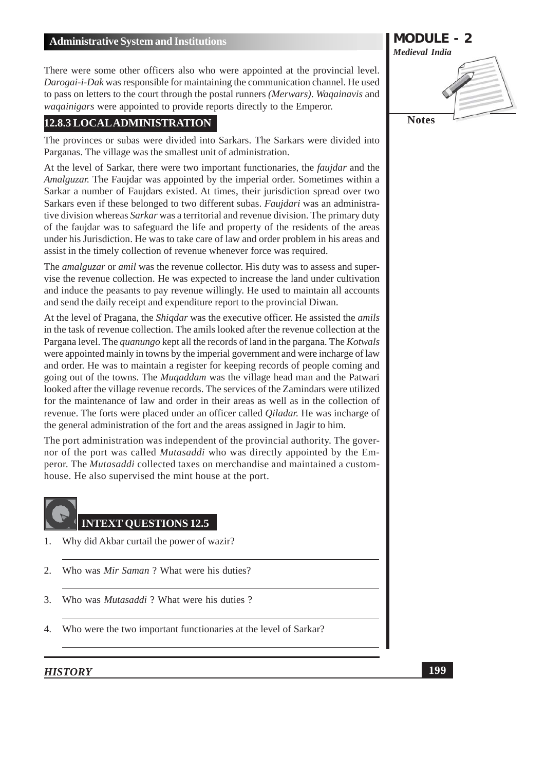There were some other officers also who were appointed at the provincial level. Darogai-i-Dak was responsible for maintaining the communication channel. He used to pass on letters to the court through the postal runners (Merwars). Wagainavis and *wagainigars* were appointed to provide reports directly to the Emperor.

#### 12.8.3 LOCAL ADMINISTRATION

The provinces or subas were divided into Sarkars. The Sarkars were divided into Parganas. The village was the smallest unit of administration.

At the level of Sarkar, there were two important functionaries, the *fauidar* and the *Amalguzar.* The Faujdar was appointed by the imperial order. Sometimes within a Sarkar a number of Faujdars existed. At times, their jurisdiction spread over two Sarkars even if these belonged to two different subas. Faujdari was an administrative division whereas Sarkar was a territorial and revenue division. The primary duty of the faujdar was to safeguard the life and property of the residents of the areas under his Jurisdiction. He was to take care of law and order problem in his areas and assist in the timely collection of revenue whenever force was required.

The *amalguzar* or *amil* was the revenue collector. His duty was to assess and supervise the revenue collection. He was expected to increase the land under cultivation and induce the peasants to pay revenue willingly. He used to maintain all accounts and send the daily receipt and expenditure report to the provincial Diwan.

At the level of Pragana, the *Shigdar* was the executive officer. He assisted the *amils* in the task of revenue collection. The amils looked after the revenue collection at the Pargana level. The *quanungo* kept all the records of land in the pargana. The *Kotwals* were appointed mainly in towns by the imperial government and were incharge of law and order. He was to maintain a register for keeping records of people coming and going out of the towns. The *Mugaddam* was the village head man and the Patwari looked after the village revenue records. The services of the Zamindars were utilized for the maintenance of law and order in their areas as well as in the collection of revenue. The forts were placed under an officer called *Qiladar*. He was incharge of the general administration of the fort and the areas assigned in Jagir to him.

The port administration was independent of the provincial authority. The governor of the port was called *Mutasaddi* who was directly appointed by the Emperor. The Mutasaddi collected taxes on merchandise and maintained a customhouse. He also supervised the mint house at the port.



#### **INTEXT QUESTIONS 12.5**

- $\mathbf{1}$ . Why did Akbar curtail the power of wazir?
- $2.$ Who was *Mir Saman* ? What were his duties?
- Who was *Mutasaddi* ? What were his duties ? 3.
- Who were the two important functionaries at the level of Sarkar?  $\overline{4}$ .

#### **HISTORY**



199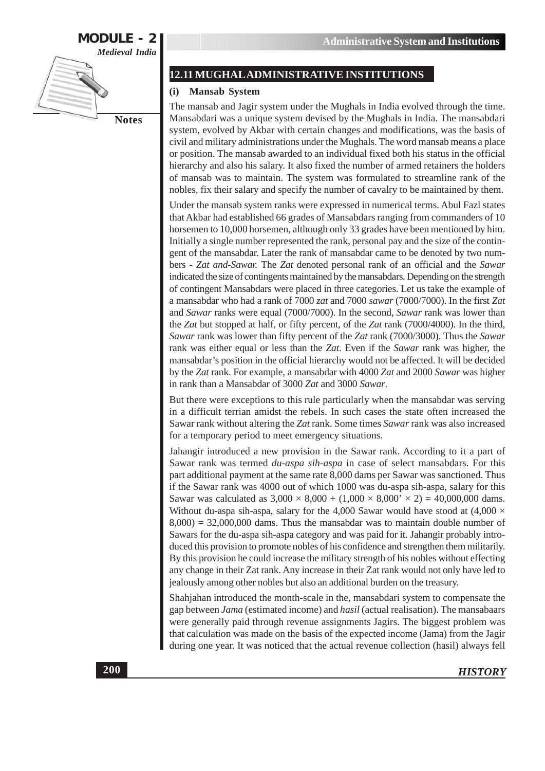

#### **12.11 MUGHAL ADMINISTRATIVE INSTITUTIONS**

#### (i) Mansab System

The mansab and Jagir system under the Mughals in India evolved through the time. Mansabdari was a unique system devised by the Mughals in India. The mansabdari system, evolved by Akbar with certain changes and modifications, was the basis of civil and military administrations under the Mughals. The word mansab means a place or position. The mansab awarded to an individual fixed both his status in the official hierarchy and also his salary. It also fixed the number of armed retainers the holders of mansab was to maintain. The system was formulated to streamline rank of the nobles, fix their salary and specify the number of cavalry to be maintained by them.

Under the mansab system ranks were expressed in numerical terms. Abul Fazl states that Akbar had established 66 grades of Mansabdars ranging from commanders of 10 horsemen to 10,000 horsemen, although only 33 grades have been mentioned by him. Initially a single number represented the rank, personal pay and the size of the contingent of the mansabdar. Later the rank of mansabdar came to be denoted by two numbers - Zat and-Sawar. The Zat denoted personal rank of an official and the Sawar indicated the size of contingents maintained by the mansabdars. Depending on the strength of contingent Mansabdars were placed in three categories. Let us take the example of a mansabdar who had a rank of 7000 zat and 7000 sawar (7000/7000). In the first Zat and Sawar ranks were equal (7000/7000). In the second, Sawar rank was lower than the Zat but stopped at half, or fifty percent, of the Zat rank (7000/4000). In the third, Sawar rank was lower than fifty percent of the Zat rank (7000/3000). Thus the Sawar rank was either equal or less than the Zat. Even if the Sawar rank was higher, the mansabdar's position in the official hierarchy would not be affected. It will be decided by the Zat rank. For example, a mansabdar with 4000 Zat and 2000 Sawar was higher in rank than a Mansabdar of 3000 Zat and 3000 Sawar.

But there were exceptions to this rule particularly when the mansabdar was serving in a difficult terrian amidst the rebels. In such cases the state often increased the Sawar rank without altering the Zat rank. Some times Sawar rank was also increased for a temporary period to meet emergency situations.

Jahangir introduced a new provision in the Sawar rank. According to it a part of Sawar rank was termed *du-aspa sih-aspa* in case of select mansabdars. For this part additional payment at the same rate 8,000 dams per Sawar was sanctioned. Thus if the Sawar rank was 4000 out of which 1000 was du-aspa sih-aspa, salary for this Sawar was calculated as  $3,000 \times 8,000 + (1,000 \times 8,000 \times 2) = 40,000,000$  dams. Without du-aspa sih-aspa, salary for the 4,000 Sawar would have stood at  $(4,000 \times$  $(8,000) = 32,000,000$  dams. Thus the mansabdar was to maintain double number of Sawars for the du-aspa sih-aspa category and was paid for it. Jahangir probably introduced this provision to promote nobles of his confidence and strengthen them militarily. By this provision he could increase the military strength of his nobles without effecting any change in their Zat rank. Any increase in their Zat rank would not only have led to jealously among other nobles but also an additional burden on the treasury.

Shahjahan introduced the month-scale in the, mansabdari system to compensate the gap between Jama (estimated income) and hasil (actual realisation). The mansabaars were generally paid through revenue assignments Jagirs. The biggest problem was that calculation was made on the basis of the expected income (Jama) from the Jagir during one year. It was noticed that the actual revenue collection (hasil) always fell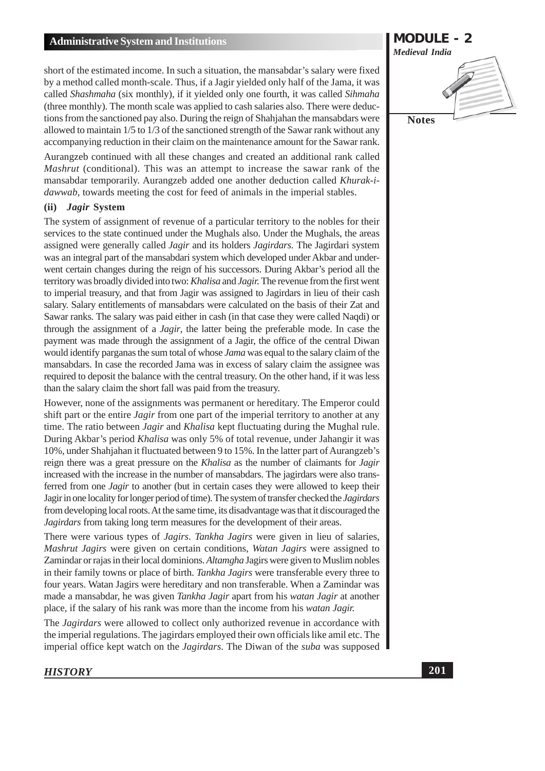short of the estimated income. In such a situation, the mansabdar's salary were fixed by a method called month-scale. Thus, if a Jagir yielded only half of the Jama, it was called Shashmaha (six monthly), if it yielded only one fourth, it was called Sihmaha (three monthly). The month scale was applied to cash salaries also. There were deductions from the sanctioned pay also. During the reign of Shahiahan the mansabdars were allowed to maintain 1/5 to 1/3 of the sanctioned strength of the Sawar rank without any accompanying reduction in their claim on the maintenance amount for the Sawar rank.

Aurangzeb continued with all these changes and created an additional rank called *Mashrut* (conditional). This was an attempt to increase the sawar rank of the mansabdar temporarily. Aurangzeb added one another deduction called Khurak-i*dawwab*, towards meeting the cost for feed of animals in the imperial stables.

#### Jagir System  $(ii)$

The system of assignment of revenue of a particular territory to the nobles for their services to the state continued under the Mughals also. Under the Mughals, the areas assigned were generally called *Jagir* and its holders *Jagirdars*. The Jagirdari system was an integral part of the mansabdari system which developed under Akbar and underwent certain changes during the reign of his successors. During Akbar's period all the territory was broadly divided into two: Khalisa and Jagir. The revenue from the first went to imperial treasury, and that from Jagir was assigned to Jagirdars in lieu of their cash salary. Salary entitlements of mansabdars were calculated on the basis of their Zat and Sawar ranks. The salary was paid either in cash (in that case they were called Naqdi) or through the assignment of a *Jagir*, the latter being the preferable mode. In case the payment was made through the assignment of a Jagir, the office of the central Diwan would identify parganas the sum total of whose Jama was equal to the salary claim of the manufacturers. In case the recorded Jama was in excess of salary claim the assignee was required to deposit the balance with the central treasury. On the other hand, if it was less than the salary claim the short fall was paid from the treasury.

However, none of the assignments was permanent or hereditary. The Emperor could shift part or the entire *Jagir* from one part of the imperial territory to another at any time. The ratio between Jagir and Khalisa kept fluctuating during the Mughal rule. During Akbar's period Khalisa was only 5% of total revenue, under Jahangir it was 10%, under Shahjahan it fluctuated between 9 to 15%. In the latter part of Aurangzeb's reign there was a great pressure on the *Khalisa* as the number of claimants for *Jagir* increased with the increase in the number of mansabdars. The jagirdars were also transferred from one *Jagir* to another (but in certain cases they were allowed to keep their Jagir in one locality for longer period of time). The system of transfer checked the *Jagirdars* from developing local roots. At the same time, its disadvantage was that it discouraged the Jagirdars from taking long term measures for the development of their areas.

There were various types of *Jagirs. Tankha Jagirs* were given in lieu of salaries, Mashrut Jagirs were given on certain conditions, Watan Jagirs were assigned to Zamindar or rajas in their local dominions. Altamgha Jagirs were given to Muslim nobles in their family towns or place of birth. Tankha Jagirs were transferable every three to four years. Watan Jagirs were hereditary and non transferable. When a Zamindar was made a mansabdar, he was given Tankha Jagir apart from his watan Jagir at another place, if the salary of his rank was more than the income from his *watan Jagir*.

The *Jagirdars* were allowed to collect only authorized revenue in accordance with the imperial regulations. The jagirdars employed their own officials like amil etc. The imperial office kept watch on the *Jagirdars*. The Diwan of the *suba* was supposed

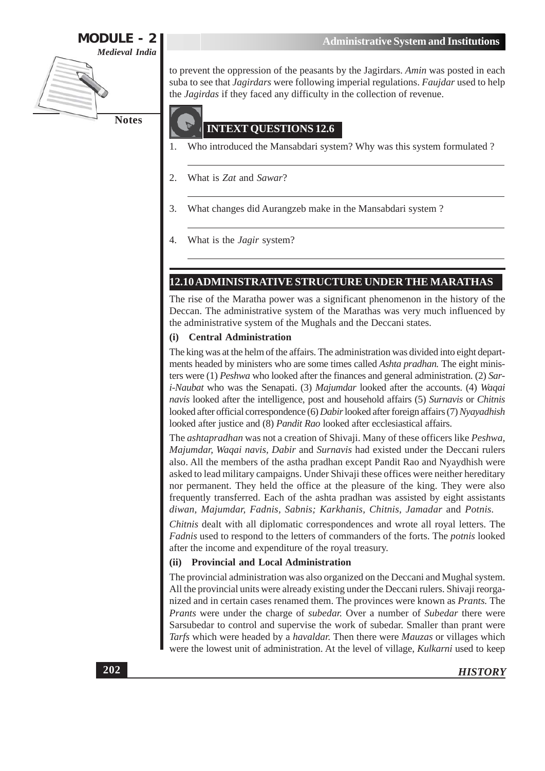

to prevent the oppression of the peasants by the Jagirdars. Amin was posted in each suba to see that *Jagirdars* were following imperial regulations. *Faujdar* used to help the *Jagirdas* if they faced any difficulty in the collection of revenue.

#### **INTEXT QUESTIONS 12.6**

- Who introduced the Mansabdari system? Why was this system formulated ? 1.
- What is Zat and Sawar? 2.
- 3. What changes did Aurangzeb make in the Mansabdari system?
- $\overline{4}$ . What is the *Jagir* system?

#### 12.10 ADMINISTRATIVE STRUCTURE UNDER THE MARATHAS

The rise of the Maratha power was a significant phenomenon in the history of the Deccan. The administrative system of the Marathas was very much influenced by the administrative system of the Mughals and the Deccani states.

#### **Central Administration**  $(i)$

The king was at the helm of the affairs. The administration was divided into eight departments headed by ministers who are some times called *Ashta pradhan*. The eight ministers were (1) Peshwa who looked after the finances and general administration. (2) Sari-Naubat who was the Senapati. (3) Majumdar looked after the accounts. (4) Waqai navis looked after the intelligence, post and household affairs (5) Surnavis or Chitnis looked after official correspondence (6) Dabir looked after foreign affairs (7) Nyayadhish looked after justice and (8) Pandit Rao looked after ecclesiastical affairs.

The ashtapradhan was not a creation of Shivaji. Many of these officers like Peshwa, Majumdar, Waqai navis, Dabir and Surnavis had existed under the Deccani rulers also. All the members of the astha pradhan except Pandit Rao and Nyaydhish were asked to lead military campaigns. Under Shivaji these offices were neither hereditary nor permanent. They held the office at the pleasure of the king. They were also frequently transferred. Each of the ashta pradhan was assisted by eight assistants diwan, Majumdar, Fadnis, Sabnis; Karkhanis, Chitnis, Jamadar and Potnis.

*Chitnis* dealt with all diplomatic correspondences and wrote all royal letters. The *Fadnis* used to respond to the letters of commanders of the forts. The *potnis* looked after the income and expenditure of the royal treasury.

#### (ii) Provincial and Local Administration

The provincial administration was also organized on the Deccani and Mughal system. All the provincial units were already existing under the Deccani rulers. Shivaji reorganized and in certain cases renamed them. The provinces were known as *Prants*. The Prants were under the charge of subedar. Over a number of Subedar there were Sarsubedar to control and supervise the work of subedar. Smaller than prant were Tarfs which were headed by a *havaldar*. Then there were *Mauzas* or villages which were the lowest unit of administration. At the level of village, Kulkarni used to keep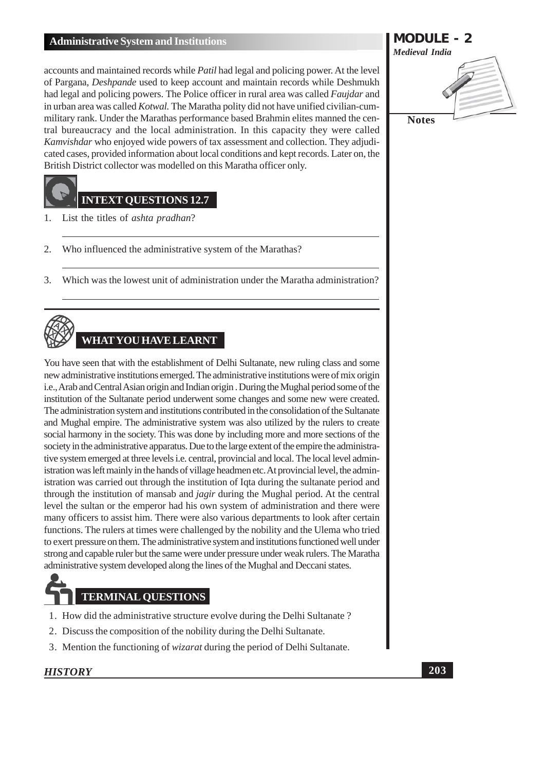accounts and maintained records while Patil had legal and policing power. At the level of Pargana, Deshpande used to keep account and maintain records while Deshmukh had legal and policing powers. The Police officer in rural area was called Faujdar and in urban area was called *Kotwal*. The Maratha polity did not have unified civilian-cummilitary rank. Under the Marathas performance based Brahmin elites manned the central bureaucracy and the local administration. In this capacity they were called Kamvishdar who enjoyed wide powers of tax assessment and collection. They adjudicated cases, provided information about local conditions and kept records. Later on, the British District collector was modelled on this Maratha officer only.

### **INTEXT QUESTIONS 12.7**

- List the titles of *ashta pradhan*?  $\mathbf{1}$ .
- $\overline{2}$ . Who influenced the administrative system of the Marathas?
- Which was the lowest unit of administration under the Maratha administration? 3.



# **WHAT YOU HAVE LEARNT**

You have seen that with the establishment of Delhi Sultanate, new ruling class and some new administrative institutions emerged. The administrative institutions were of mix origin i.e., Arab and Central Asian origin and Indian origin. During the Mughal period some of the institution of the Sultanate period underwent some changes and some new were created. The administration system and institutions contributed in the consolidation of the Sultanate and Mughal empire. The administrative system was also utilized by the rulers to create social harmony in the society. This was done by including more and more sections of the society in the administrative apparatus. Due to the large extent of the empire the administrative system emerged at three levels i.e. central, provincial and local. The local level administration was left mainly in the hands of village headmen etc. At provincial level, the administration was carried out through the institution of Iqta during the sultanate period and through the institution of mansab and *jagir* during the Mughal period. At the central level the sultan or the emperor had his own system of administration and there were many officers to assist him. There were also various departments to look after certain functions. The rulers at times were challenged by the nobility and the Ulema who tried to exert pressure on them. The administrative system and institutions functioned well under strong and capable ruler but the same were under pressure under weak rulers. The Maratha administrative system developed along the lines of the Mughal and Deccani states.

# **TERMINAL QUESTIONS**

- 1. How did the administrative structure evolve during the Delhi Sultanate?
- 2. Discuss the composition of the nobility during the Delhi Sultanate.
- 3. Mention the functioning of *wizarat* during the period of Delhi Sultanate.

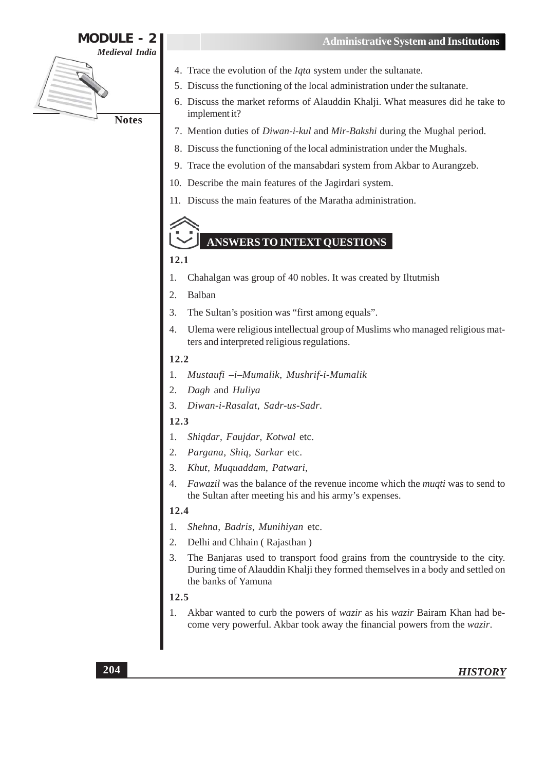

- 4. Trace the evolution of the *Iqta* system under the sultanate.
- 5. Discuss the functioning of the local administration under the sultanate.
- 6. Discuss the market reforms of Alauddin Khalji. What measures did he take to implement it?
- 7. Mention duties of Diwan-i-kul and Mir-Bakshi during the Mughal period.
- 8. Discuss the functioning of the local administration under the Mughals.
- 9. Trace the evolution of the mansabdari system from Akbar to Aurangzeb.
- 10. Describe the main features of the Jagirdari system.
- 11. Discuss the main features of the Maratha administration.

#### **ANSWERS TO INTEXT OUESTIONS**

#### 12.1

- 1. Chahalgan was group of 40 nobles. It was created by Iltutmish
- $\overline{2}$ . Balban
- 3. The Sultan's position was "first among equals".
- $\overline{4}$ Ulema were religious intellectual group of Muslims who managed religious matters and interpreted religious regulations.

#### 12.2

- Mustaufi -i-Mumalik, Mushrif-i-Mumalik 1.
- Dagh and Huliya 2.
- Diwan-i-Rasalat, Sadr-us-Sadr. 3.

#### 12.3

- $1<sub>1</sub>$ Shiqdar, Faujdar, Kotwal etc.
- $\overline{2}$ . Pargana, Shiq, Sarkar etc.
- $\mathcal{R}$ Khut, Muguaddam, Patwari,
- $\overline{4}$ . *Fawazil* was the balance of the revenue income which the *muqti* was to send to the Sultan after meeting his and his army's expenses.

#### 12.4

- 1. Shehna, Badris, Munihiyan etc.
- $2.$ Delhi and Chhain (Rajasthan)
- The Banjaras used to transport food grains from the countryside to the city.  $\mathcal{Z}$ During time of Alauddin Khalji they formed themselves in a body and settled on the banks of Yamuna

#### 12.5

Akbar wanted to curb the powers of *wazir* as his *wazir* Bairam Khan had be- $1.$ come very powerful. Akbar took away the financial powers from the wazir.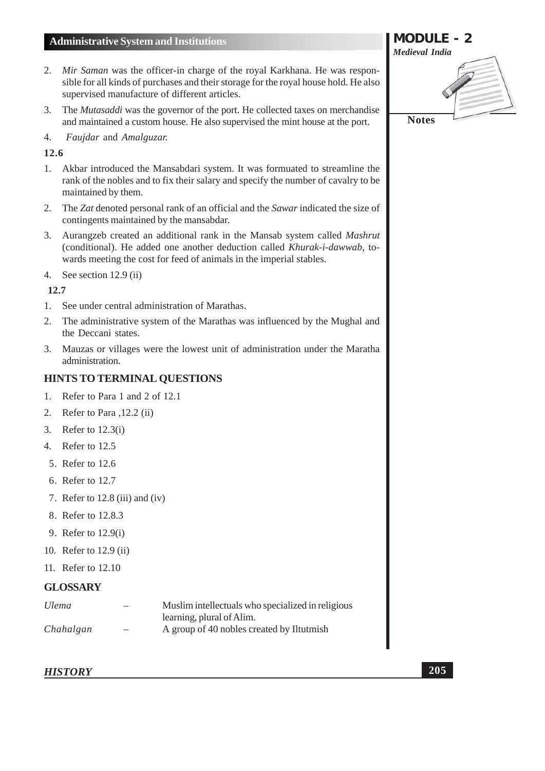- 2. Mir Saman was the officer-in charge of the royal Karkhana. He was responsible for all kinds of purchases and their storage for the royal house hold. He also supervised manufacture of different articles.
- 3. The *Mutasaddi* was the governor of the port. He collected taxes on merchandise and maintained a custom house. He also supervised the mint house at the port.
- $\overline{4}$ . Faujdar and Amalguzar.

#### 12.6

- 1. Akbar introduced the Mansabdari system. It was formuated to streamline the rank of the nobles and to fix their salary and specify the number of cavalry to be maintained by them.
- The Zat denoted personal rank of an official and the Sawar indicated the size of  $2.$ contingents maintained by the mansabdar.
- 3. Aurangzeb created an additional rank in the Mansab system called Mashrut (conditional). He added one another deduction called Khurak-i-dawwab, towards meeting the cost for feed of animals in the imperial stables.
- 4. See section  $12.9$  (ii)

#### 12.7

- $1<sub>1</sub>$ See under central administration of Marathas.
- The administrative system of the Marathas was influenced by the Mughal and  $2.$ the Deccani states.
- Mauzas or villages were the lowest unit of administration under the Maratha  $3.$ administration.

#### **HINTS TO TERMINAL QUESTIONS**

- 1. Refer to Para 1 and 2 of 12.1
- 2. Refer to Para , 12.2 (ii)
- 3. Refer to  $12.3(i)$
- 4. Refer to 12.5
- 5. Refer to 12.6
- 6. Refer to 12.7
- 7. Refer to 12.8 (iii) and (iv)
- 8. Refer to 12.8.3
- 9. Refer to 12.9(i)
- 10. Refer to 12.9 (ii)
- 11. Refer to 12.10

#### **GLOSSARY**

| <i>Ulema</i> | Muslim intellectuals who specialized in religious |
|--------------|---------------------------------------------------|
|              | learning, plural of Alim.                         |
| Chahalgan    | A group of 40 nobles created by Iltutmish         |

#### **HISTORY**

**MODULE - 2 Medieval India Notes**